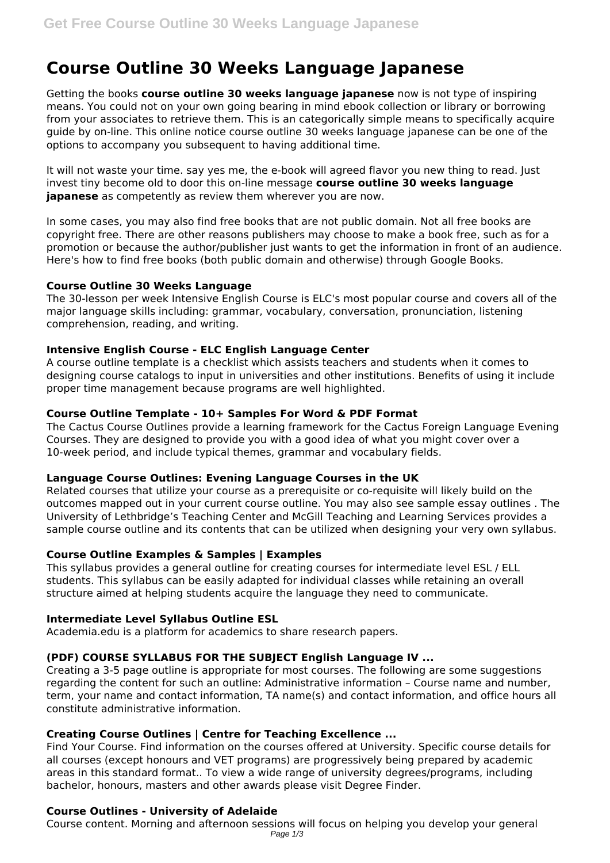# **Course Outline 30 Weeks Language Japanese**

Getting the books **course outline 30 weeks language japanese** now is not type of inspiring means. You could not on your own going bearing in mind ebook collection or library or borrowing from your associates to retrieve them. This is an categorically simple means to specifically acquire guide by on-line. This online notice course outline 30 weeks language japanese can be one of the options to accompany you subsequent to having additional time.

It will not waste your time. say yes me, the e-book will agreed flavor you new thing to read. Just invest tiny become old to door this on-line message **course outline 30 weeks language japanese** as competently as review them wherever you are now.

In some cases, you may also find free books that are not public domain. Not all free books are copyright free. There are other reasons publishers may choose to make a book free, such as for a promotion or because the author/publisher just wants to get the information in front of an audience. Here's how to find free books (both public domain and otherwise) through Google Books.

#### **Course Outline 30 Weeks Language**

The 30-lesson per week Intensive English Course is ELC's most popular course and covers all of the major language skills including: grammar, vocabulary, conversation, pronunciation, listening comprehension, reading, and writing.

#### **Intensive English Course - ELC English Language Center**

A course outline template is a checklist which assists teachers and students when it comes to designing course catalogs to input in universities and other institutions. Benefits of using it include proper time management because programs are well highlighted.

#### **Course Outline Template - 10+ Samples For Word & PDF Format**

The Cactus Course Outlines provide a learning framework for the Cactus Foreign Language Evening Courses. They are designed to provide you with a good idea of what you might cover over a 10-week period, and include typical themes, grammar and vocabulary fields.

#### **Language Course Outlines: Evening Language Courses in the UK**

Related courses that utilize your course as a prerequisite or co-requisite will likely build on the outcomes mapped out in your current course outline. You may also see sample essay outlines . The University of Lethbridge's Teaching Center and McGill Teaching and Learning Services provides a sample course outline and its contents that can be utilized when designing your very own syllabus.

# **Course Outline Examples & Samples | Examples**

This syllabus provides a general outline for creating courses for intermediate level ESL / ELL students. This syllabus can be easily adapted for individual classes while retaining an overall structure aimed at helping students acquire the language they need to communicate.

# **Intermediate Level Syllabus Outline ESL**

Academia.edu is a platform for academics to share research papers.

# **(PDF) COURSE SYLLABUS FOR THE SUBJECT English Language IV ...**

Creating a 3-5 page outline is appropriate for most courses. The following are some suggestions regarding the content for such an outline: Administrative information – Course name and number, term, your name and contact information, TA name(s) and contact information, and office hours all constitute administrative information.

# **Creating Course Outlines | Centre for Teaching Excellence ...**

Find Your Course. Find information on the courses offered at University. Specific course details for all courses (except honours and VET programs) are progressively being prepared by academic areas in this standard format.. To view a wide range of university degrees/programs, including bachelor, honours, masters and other awards please visit Degree Finder.

# **Course Outlines - University of Adelaide**

Course content. Morning and afternoon sessions will focus on helping you develop your general Page  $1/3$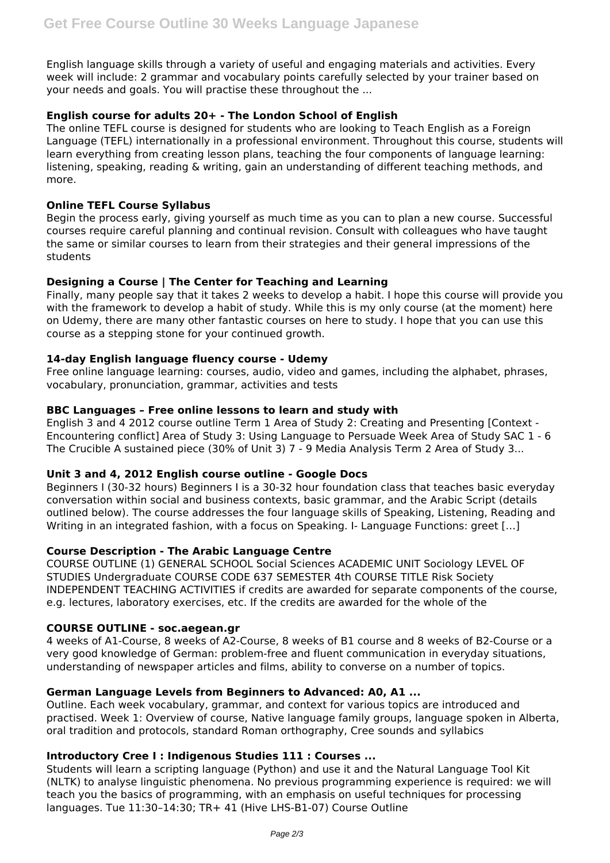English language skills through a variety of useful and engaging materials and activities. Every week will include: 2 grammar and vocabulary points carefully selected by your trainer based on your needs and goals. You will practise these throughout the ...

# **English course for adults 20+ - The London School of English**

The online TEFL course is designed for students who are looking to Teach English as a Foreign Language (TEFL) internationally in a professional environment. Throughout this course, students will learn everything from creating lesson plans, teaching the four components of language learning: listening, speaking, reading & writing, gain an understanding of different teaching methods, and more.

# **Online TEFL Course Syllabus**

Begin the process early, giving yourself as much time as you can to plan a new course. Successful courses require careful planning and continual revision. Consult with colleagues who have taught the same or similar courses to learn from their strategies and their general impressions of the students

# **Designing a Course | The Center for Teaching and Learning**

Finally, many people say that it takes 2 weeks to develop a habit. I hope this course will provide you with the framework to develop a habit of study. While this is my only course (at the moment) here on Udemy, there are many other fantastic courses on here to study. I hope that you can use this course as a stepping stone for your continued growth.

#### **14-day English language fluency course - Udemy**

Free online language learning: courses, audio, video and games, including the alphabet, phrases, vocabulary, pronunciation, grammar, activities and tests

#### **BBC Languages – Free online lessons to learn and study with**

English 3 and 4 2012 course outline Term 1 Area of Study 2: Creating and Presenting [Context - Encountering conflict] Area of Study 3: Using Language to Persuade Week Area of Study SAC 1 - 6 The Crucible A sustained piece (30% of Unit 3) 7 - 9 Media Analysis Term 2 Area of Study 3...

# **Unit 3 and 4, 2012 English course outline - Google Docs**

Beginners I (30-32 hours) Beginners I is a 30-32 hour foundation class that teaches basic everyday conversation within social and business contexts, basic grammar, and the Arabic Script (details outlined below). The course addresses the four language skills of Speaking, Listening, Reading and Writing in an integrated fashion, with a focus on Speaking. I- Language Functions: greet […]

#### **Course Description - The Arabic Language Centre**

COURSE OUTLINE (1) GENERAL SCHOOL Social Sciences ACADEMIC UNIT Sociology LEVEL OF STUDIES Undergraduate COURSE CODE 637 SEMESTER 4th COURSE TITLE Risk Society INDEPENDENT TEACHING ACTIVITIES if credits are awarded for separate components of the course, e.g. lectures, laboratory exercises, etc. If the credits are awarded for the whole of the

#### **COURSE OUTLINE - soc.aegean.gr**

4 weeks of A1-Course, 8 weeks of A2-Course, 8 weeks of B1 course and 8 weeks of B2-Course or a very good knowledge of German: problem-free and fluent communication in everyday situations, understanding of newspaper articles and films, ability to converse on a number of topics.

#### **German Language Levels from Beginners to Advanced: A0, A1 ...**

Outline. Each week vocabulary, grammar, and context for various topics are introduced and practised. Week 1: Overview of course, Native language family groups, language spoken in Alberta, oral tradition and protocols, standard Roman orthography, Cree sounds and syllabics

# **Introductory Cree I : Indigenous Studies 111 : Courses ...**

Students will learn a scripting language (Python) and use it and the Natural Language Tool Kit (NLTK) to analyse linguistic phenomena. No previous programming experience is required: we will teach you the basics of programming, with an emphasis on useful techniques for processing languages. Tue 11:30–14:30; TR+ 41 (Hive LHS-B1-07) Course Outline